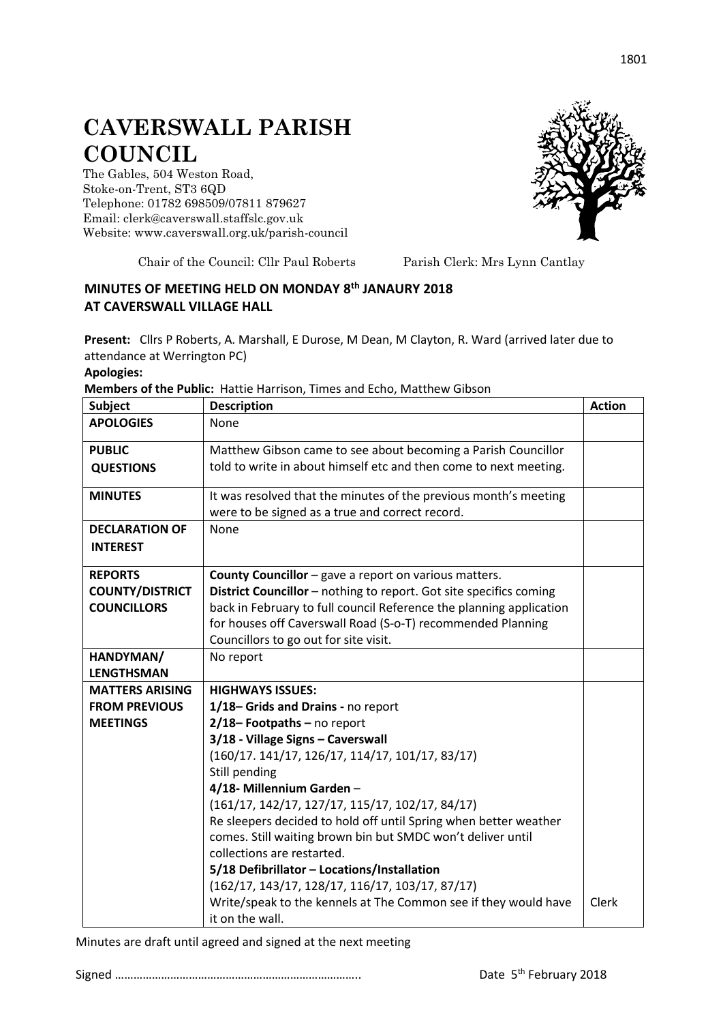## **CAVERSWALL PARISH COUNCIL**

The Gables, 504 Weston Road, Stoke-on-Trent, ST3 6QD Telephone: 01782 698509/07811 879627 Email: clerk@caverswall.staffslc.gov.uk Website: [www.c](http://www.dilhorneparishcouncil.co.uk/)averswall.org.uk/parish-council



Chair of the Council: Cllr Paul Roberts Parish Clerk: Mrs Lynn Cantlay

## **MINUTES OF MEETING HELD ON MONDAY 8 th JANAURY 2018 AT CAVERSWALL VILLAGE HALL**

**Present:** Cllrs P Roberts, A. Marshall, E Durose, M Dean, M Clayton, R. Ward (arrived later due to attendance at Werrington PC)

**Apologies:**

**Members of the Public:** Hattie Harrison, Times and Echo, Matthew Gibson

| <b>Subject</b>         | <b>Description</b>                                                                                                  | <b>Action</b> |
|------------------------|---------------------------------------------------------------------------------------------------------------------|---------------|
| <b>APOLOGIES</b>       | None                                                                                                                |               |
| <b>PUBLIC</b>          | Matthew Gibson came to see about becoming a Parish Councillor                                                       |               |
| <b>QUESTIONS</b>       | told to write in about himself etc and then come to next meeting.                                                   |               |
| <b>MINUTES</b>         | It was resolved that the minutes of the previous month's meeting<br>were to be signed as a true and correct record. |               |
| <b>DECLARATION OF</b>  | None                                                                                                                |               |
| <b>INTEREST</b>        |                                                                                                                     |               |
|                        |                                                                                                                     |               |
| <b>REPORTS</b>         | <b>County Councillor</b> – gave a report on various matters.                                                        |               |
| <b>COUNTY/DISTRICT</b> | District Councillor - nothing to report. Got site specifics coming                                                  |               |
| <b>COUNCILLORS</b>     | back in February to full council Reference the planning application                                                 |               |
|                        | for houses off Caverswall Road (S-o-T) recommended Planning                                                         |               |
|                        | Councillors to go out for site visit.                                                                               |               |
| HANDYMAN/              | No report                                                                                                           |               |
| <b>LENGTHSMAN</b>      |                                                                                                                     |               |
| <b>MATTERS ARISING</b> | <b>HIGHWAYS ISSUES:</b>                                                                                             |               |
| <b>FROM PREVIOUS</b>   | 1/18-Grids and Drains - no report                                                                                   |               |
| <b>MEETINGS</b>        | 2/18-Footpaths-no report                                                                                            |               |
|                        | 3/18 - Village Signs - Caverswall                                                                                   |               |
|                        | $(160/17. 141/17, 126/17, 114/17, 101/17, 83/17)$                                                                   |               |
|                        | Still pending                                                                                                       |               |
|                        | 4/18- Millennium Garden-                                                                                            |               |
|                        | $(161/17, 142/17, 127/17, 115/17, 102/17, 84/17)$                                                                   |               |
|                        | Re sleepers decided to hold off until Spring when better weather                                                    |               |
|                        | comes. Still waiting brown bin but SMDC won't deliver until                                                         |               |
|                        | collections are restarted.                                                                                          |               |
|                        | 5/18 Defibrillator - Locations/Installation                                                                         |               |
|                        | $(162/17, 143/17, 128/17, 116/17, 103/17, 87/17)$                                                                   |               |
|                        | Write/speak to the kennels at The Common see if they would have                                                     | Clerk         |
|                        | it on the wall.                                                                                                     |               |

Minutes are draft until agreed and signed at the next meeting

Signed …………………………………………………………………….. Date 5th February 2018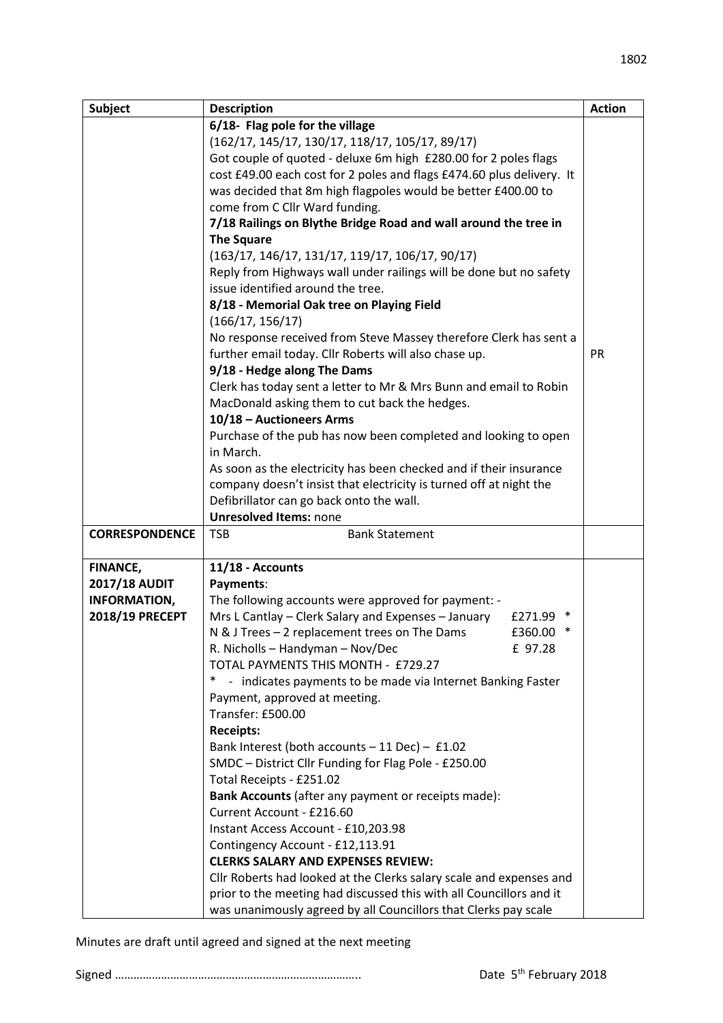| <b>Subject</b>        | <b>Description</b>                                                    | <b>Action</b> |
|-----------------------|-----------------------------------------------------------------------|---------------|
|                       | 6/18- Flag pole for the village                                       |               |
|                       | $(162/17, 145/17, 130/17, 118/17, 105/17, 89/17)$                     |               |
|                       | Got couple of quoted - deluxe 6m high £280.00 for 2 poles flags       |               |
|                       | cost £49.00 each cost for 2 poles and flags £474.60 plus delivery. It |               |
|                       | was decided that 8m high flagpoles would be better £400.00 to         |               |
|                       | come from C Cllr Ward funding.                                        |               |
|                       | 7/18 Railings on Blythe Bridge Road and wall around the tree in       |               |
|                       | <b>The Square</b>                                                     |               |
|                       | $(163/17, 146/17, 131/17, 119/17, 106/17, 90/17)$                     |               |
|                       | Reply from Highways wall under railings will be done but no safety    |               |
|                       | issue identified around the tree.                                     |               |
|                       | 8/18 - Memorial Oak tree on Playing Field                             |               |
|                       | (166/17, 156/17)                                                      |               |
|                       | No response received from Steve Massey therefore Clerk has sent a     |               |
|                       | further email today. Cllr Roberts will also chase up.                 | PR            |
|                       | 9/18 - Hedge along The Dams                                           |               |
|                       | Clerk has today sent a letter to Mr & Mrs Bunn and email to Robin     |               |
|                       | MacDonald asking them to cut back the hedges.                         |               |
|                       | 10/18 - Auctioneers Arms                                              |               |
|                       | Purchase of the pub has now been completed and looking to open        |               |
|                       | in March.                                                             |               |
|                       | As soon as the electricity has been checked and if their insurance    |               |
|                       | company doesn't insist that electricity is turned off at night the    |               |
|                       | Defibrillator can go back onto the wall.                              |               |
|                       | <b>Unresolved Items: none</b>                                         |               |
| <b>CORRESPONDENCE</b> | <b>TSB</b><br><b>Bank Statement</b>                                   |               |
| FINANCE,              | 11/18 - Accounts                                                      |               |
| <b>2017/18 AUDIT</b>  | Payments:                                                             |               |
| <b>INFORMATION,</b>   | The following accounts were approved for payment: -                   |               |
| 2018/19 PRECEPT       | Mrs L Cantlay - Clerk Salary and Expenses - January<br>£271.99 *      |               |
|                       | N & J Trees - 2 replacement trees on The Dams<br>£360.00<br>∗         |               |
|                       | R. Nicholls - Handyman - Nov/Dec<br>£ 97.28                           |               |
|                       | TOTAL PAYMENTS THIS MONTH - £729.27                                   |               |
|                       | - indicates payments to be made via Internet Banking Faster<br>*      |               |
|                       | Payment, approved at meeting.                                         |               |
|                       | Transfer: £500.00                                                     |               |
|                       | <b>Receipts:</b>                                                      |               |
|                       | Bank Interest (both accounts $-11$ Dec) $-$ £1.02                     |               |
|                       | SMDC - District Cllr Funding for Flag Pole - £250.00                  |               |
|                       | Total Receipts - £251.02                                              |               |
|                       | Bank Accounts (after any payment or receipts made):                   |               |
|                       | Current Account - £216.60                                             |               |
|                       | Instant Access Account - £10,203.98                                   |               |
|                       | Contingency Account - £12,113.91                                      |               |
|                       | <b>CLERKS SALARY AND EXPENSES REVIEW:</b>                             |               |
|                       | Cllr Roberts had looked at the Clerks salary scale and expenses and   |               |
|                       | prior to the meeting had discussed this with all Councillors and it   |               |
|                       | was unanimously agreed by all Councillors that Clerks pay scale       |               |

Minutes are draft until agreed and signed at the next meeting

Signed …………………………………………………………………….. Date 5th February 2018